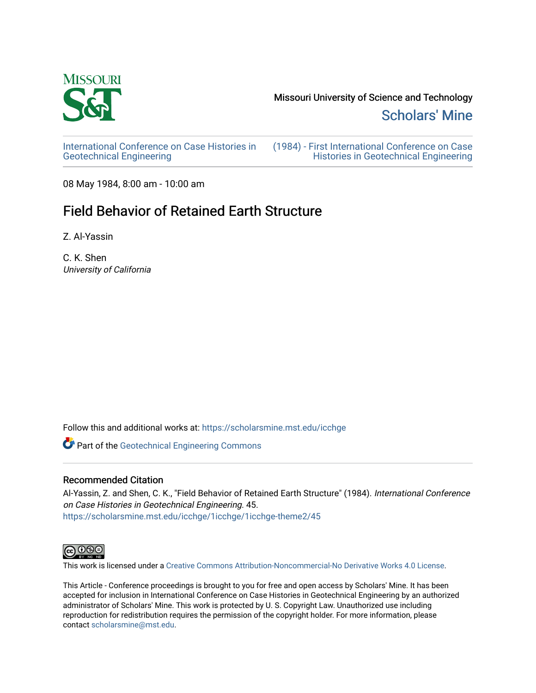

Missouri University of Science and Technology

[Scholars' Mine](https://scholarsmine.mst.edu/) 

[International Conference on Case Histories in](https://scholarsmine.mst.edu/icchge)  [Geotechnical Engineering](https://scholarsmine.mst.edu/icchge)

[\(1984\) - First International Conference on Case](https://scholarsmine.mst.edu/icchge/1icchge)  [Histories in Geotechnical Engineering](https://scholarsmine.mst.edu/icchge/1icchge) 

08 May 1984, 8:00 am - 10:00 am

# Field Behavior of Retained Earth Structure

Z. Al-Yassin

C. K. Shen University of California

Follow this and additional works at: [https://scholarsmine.mst.edu/icchge](https://scholarsmine.mst.edu/icchge?utm_source=scholarsmine.mst.edu%2Ficchge%2F1icchge%2F1icchge-theme2%2F45&utm_medium=PDF&utm_campaign=PDFCoverPages) 

**Part of the Geotechnical Engineering Commons** 

# Recommended Citation

Al-Yassin, Z. and Shen, C. K., "Field Behavior of Retained Earth Structure" (1984). International Conference on Case Histories in Geotechnical Engineering. 45. [https://scholarsmine.mst.edu/icchge/1icchge/1icchge-theme2/45](https://scholarsmine.mst.edu/icchge/1icchge/1icchge-theme2/45?utm_source=scholarsmine.mst.edu%2Ficchge%2F1icchge%2F1icchge-theme2%2F45&utm_medium=PDF&utm_campaign=PDFCoverPages) 



This work is licensed under a [Creative Commons Attribution-Noncommercial-No Derivative Works 4.0 License.](https://creativecommons.org/licenses/by-nc-nd/4.0/)

This Article - Conference proceedings is brought to you for free and open access by Scholars' Mine. It has been accepted for inclusion in International Conference on Case Histories in Geotechnical Engineering by an authorized administrator of Scholars' Mine. This work is protected by U. S. Copyright Law. Unauthorized use including reproduction for redistribution requires the permission of the copyright holder. For more information, please contact [scholarsmine@mst.edu](mailto:scholarsmine@mst.edu).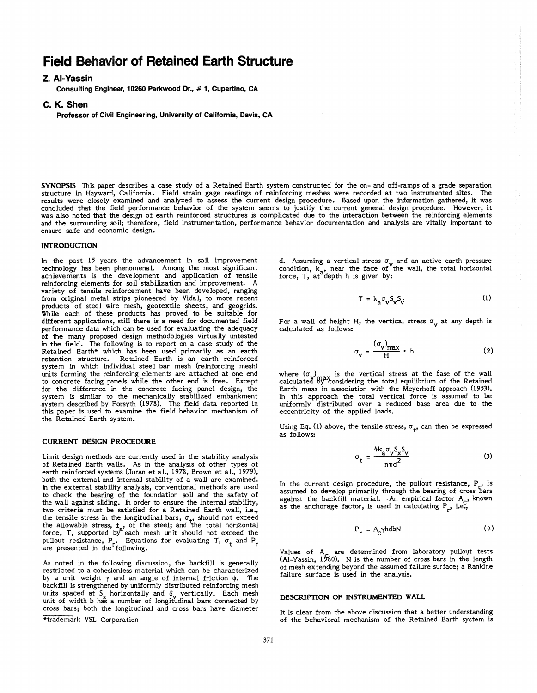# **Field** Behavior **of Retained Earth Structure**

# **Z.** AI-Yassin

Consulting Engineer, 10260 Parkwood Dr., # 1, Cupertino, CA

## **C. K.** Shen

Professor of Civil Engineering, University of California, Davis, CA

SYNOPSIS This paper describes a case study of a Retained Earth system constructed for the on- and off-ramps of a grade separation structure in Hayward, California. Field strain gage readings of reinforcing meshes were recorded at two instrumented sites. The results were closely examined and analyzed to assess the current design procedure. Based upon the information gathered, it was was also noted that the design of earth reinforced structures is complicated due to the interaction between the reinforcing elements and the surrounding soil; therefore, field instrumentation, performance behavior documentation and analysis are vitally important to ensure safe and economic design.

#### INTRODUCTION

In the past 15 years the advancement in soil improvement technology has been phenomenal. Among the most significant achievements is the development and application of tensile reinforcing elements for soil stabilization and improvement. A variety of tensile reinforcement have been developed, ranging from original metal strips pioneered by Vidal, to more recent products of steel wire mesh, geotextile sheets, and geogrids. While each of these products has proved to be suitable for different applications, still there is a need for documented field performance data which can be used for evaluating the adequacy of the many proposed design methodologies virtually untested in the field. The following is to report on a case study of the Retained Earth\* which has been used primarily as an earth retention structure. Retained Earth is an earth reinforced Retained Earth is an earth reinforced system in which individual steel bar mesh (reinforcing mesh) units forming the reinforcing elements are attached at one end to concrete facing panels while the other end is free. Except for the difference in the concrete facing panel design, the system is similar to the mechanically stabilized embankment system described by Forsyth (1978). The field data reported in this paper is used to examine the field behavior mechanism of the Retained Earth system.

#### CURRENT DESIGN PROCEDURE

Limit design methods are currently used in the stability analysis of Retained Earth walls. As in the analysis of other types of earth reinforced systems (Juran et al., 1978, Brown et al., 1979), both the external and internal stability of a wall are examined. In the external stability analysis, conventional methods are used to check the bearing of the foundation soil and the safety of the wall against sliding. In order to ensure the internal stability, two criteria must be satisfied for a Retained Earth wall, i.e., the tensile stress in the longitudinal bars,  $\sigma_{+}$ , should not exceed the allowable stress, f<sub>a</sub>, of the steel; and the total horizontal force, T, supported by each mesh unit should not exceed the pullout resistance, P. Equations for evaluating T,  $\sigma_t$  and  $P_r$  are presented in the following.

As noted in the following discussion, the backfill is generally restricted to a cohesionless material which can be characterized by a unit weight  $\gamma$  and an angle of internal friction  $\phi$ . The backfill is strengthened by uniformly distributed reinforcing mesh units spaced at  $S_{v}$  horizontally and  $\delta_{v}$  vertically. Each mesh unit of width b has a number of longitudinal bars connected by cross bars; both the longitudinal and cross bars have diameter

\*trademark VSL Corporation

d. Assuming a vertical stress  $\sigma_{\mathbf{v}}$  and an active earth pressure condition,  $k_a$ , near the face of the wall, the total horizontal force, T, at depth h is given by:

$$
T = k_{a} \sigma_{v} S_{x} S_{v} \tag{1}
$$

For a wall of height H, the vertical stress  $\sigma_{v}$  at any depth is calculated as follows:

$$
\sigma_{\mathbf{v}} = \frac{(\sigma_{\mathbf{v}})_{\text{max}}}{H} \cdot h \tag{2}
$$

where  $(\sigma_v)_{\text{max}}$  is the vertical stress at the base of the wall calculated by considering the total equilibrium of the Retained Earth mass in association with the Meyerhoff approach (1953). In this approach the total vertical force is assumed to be uniformly distributed over a reduced base area due to the eccentricity of the applied loads.

Using Eq. (1) above, the tensile stress,  $\sigma_{+}$ , can then be expressed as follows:

$$
\sigma_{t} = \frac{4k_a \sigma_v S_x S_v}{n \pi d^2}
$$
 (3)

In the current design procedure, the pullout resistance,  $P_r$ , is assumed to develop primarily through the bearing of cross bars against the backfill material. An empirical factor  $A_c$ , known as the anchorage factor, is used in calculating  $P_r$ , i.e.,

$$
P_r = A_r \gamma h d b N \tag{4}
$$

Values of A are determined from laboratory pullout tests (AI-Yassin, 19&0). N is the number of cross bars in the length of mesh extending beyond the assumed failure surface; a Rankine failure surface is used in the analysis.

#### DESCRIPTION OF INSTRUMENTED WALL

It is clear from the above discussion that a better understanding of the behavioral mechanism of the Retained Earth system is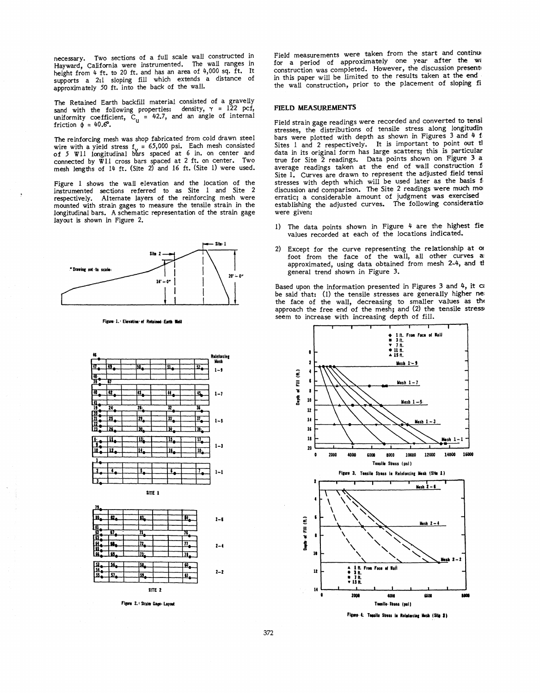necessary. Two sections of a full scale wall constructed in Hayward, California were instrumented. The wall ranges in height from 4 ft. to 20 ft. and has an area of 4,000 sq. ft. It supports a 2:1 sloping fill which extends a distance of approximately *50* ft. into the back of the wall.

The Retained Earth backfill material consisted of a gravelly sand with the following properties: density,  $\gamma = 122$  pct, uniformity coefficient,  $C_{11}$  = 42.7, and an angle of internal friction  $\phi = 40.6$ <sup>o</sup>.

The reinforcing mesh was shop fabricated from cold drawn steel wire with a yield stress f<sub>y</sub> = 65,000 psi. Each mesh consisted<br>of 5 W11 longitudinal bars spaced at 6 in. on center and connected by W 11 cross bars spaced at 2 ft. on center. Two mesh lengths of 14 ft. (Site 2) and 16 ft. (Site 1) were used.

Figure 1 shows the wall elevation and the location of the instrumented sections referred to as *Site* 1 and Site 2 respectively. Alternate layers of the reinforcing mesh were mounted with strain gages to measure the tensile strain *in* the longitudinal bars. A schematic representation of the strain gage layout *is* shown in Figure 2.



Figure 1. Elevation of Retained Eatth Wall







Figure 2.1 Strain-Google Lavoud

Field measurements were taken from the start and continu for a period of approximately one year after the wa construction was completed. However, the discussion present< in *this* paper will be limited to the results taken at the end . the wall construction, prior to the placement of sloping fi

#### flELD MEASUREMENTS

Field strain gage readings were recorded and converted to tensi stresses, the distributions of tensile stress along longitudin bars were plotted with depth as shown in Figures 3 and 4 f Sites 1 and 2 respectively. It is important to point out tl data in its original form has large scatters; this is particular true for Site 2 readings. Data points shown on Figure 3 a average readings taken at the end of wall construction f• Site 1. Curves are drawn to represent the adjusted field tensi stresses with depth *which* will be used later as the *basis* f, discussion and comparison. The Site 2 readings were much mo erratic; a considerable amount of judgment was exercised establishing the adjusted curves. The following consideratio were given:

- 1) The data points shown in Figure  $4$  are the highest fie values recorded at each of the locations indicated.
- 2) Except for the curve representing the relationship at 01 foot from the face of the wall, all other curves a approximated, using data obtained from mesh 2-4, and ti general trend shown *in* Figure 3.

Based upon the information presented in Figures 3 and 4, it  $\alpha$  be said that: (1) the tensile stresses are generally higher ne: the face of the wall, decreasing to smaller values as the approach the free end of the mesh; and (2) the tensile stress seem to increase with increasing depth of fill.



Figure 4: Tensile Stress in Reinfarcing Mesh (Site 2)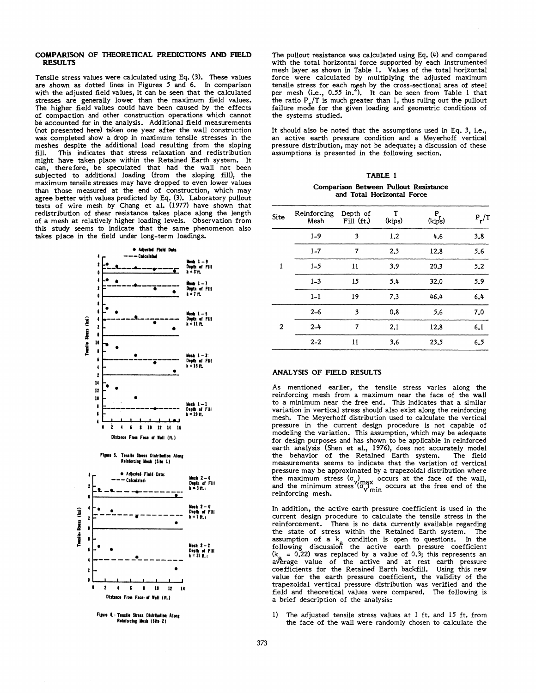#### COMPARISON OF THEORETICAL PREDICTIONS AND FIELD **RESULTS**

Tensile stress values were calculated using Eq. (3). These values are shown as dotted lines in Figures  $5$  and  $6$ . In comparison with the adjusted field values, it can be seen that the calculated stresses are generally lower than the maximum field values. The higher field values could have been caused by the effects of compaction and other construction operations which cannot be accounted for in the analysis. Additional field measurements (not presented here) taken one year after the wall construction was completed show a drop in maximum tensile stresses in the meshes despite the additional load resulting from the sloping This indicates that stress relaxation and redistribution fill. might have taken place within the Retained Earth system. It can, therefore, be speculated that had the wall not been subjected to additional loading (from the sloping fill), the maximum tensile stresses may have dropped to even lower values than those measured at the end of construction, which may agree better with values predicted by Eq. (3). Laboratory pullout tests of wire mesh by Chang et al. (1977) have shown that redistribution of shear resistance takes place along the length of a mesh at relatively higher loading levels. Observation from this study seems to indicate that the same phenomenon also takes place in the field under long-term loadings.



Figure 6. Tensile Stress Distribution Atong Reinforcing Mesh (Site 2)

The pullout resistance was calculated using Eq.  $(4)$  and compared in with the total horizontal force supported by each instrumented<br>mesh layer as shown in Table 1. Values of the total horizontal force were calculated by multiplying the adjusted maximum tensile stress for each mesh by the cross-sectional area of steel<br>per mesh (i.e., 0.55 in.). It can be seen from Table 1 that the ratio  $P_r/T$  is much greater than 1, thus ruling out the pullout failure mode for the given loading and geometric conditions of the systems studied.

It should also be noted that the assumptions used in Eq. 3, i.e., an active earth pressure condition and a Meyerhoff vertical pressure distribution, may not be adequate; a discussion of these assumptions is presented in the following section.

#### TABLE 1

### Comparison Between Pullout Resistance and Total Horizontal Force

| Site | Reinforcing<br>Mesh | Depth of<br>Fill (ft.) | T<br>(kips) | P<br>(kips) | $P_r/T$ |
|------|---------------------|------------------------|-------------|-------------|---------|
| 1    | $1 - 9$             | 3                      | 1.2         | 4.6         | 3.8     |
|      | $1 - 7$             | 7                      | 2.3         | 12.8        | 5.6     |
|      | $1 - 5$             | 11                     | 3.9         | 20.3        | 5,2     |
|      | $1 - 3$             | 15                     | 5.4         | 32.0        | 5,9     |
|      | $1 - 1$             | 19                     | 7.3         | 46.4        | 6.4     |
| 2    | $2 - 6$             | 3                      | 0.8         | 5.6         | 7.0     |
|      | $2 - 4$             | 7                      | 2.1         | 12.8        | 6.1     |
|      | $2 - 2$             | 11                     | 3.6         | 23.5        | 6.5     |
|      |                     |                        |             |             |         |

## ANALYSIS OF FIELD RESULTS

As mentioned earlier, the tensile stress varies along the reinforcing mesh from a maximum near the face of the wall to a minimum near the free end. This indicates that a similar variation in vertical stress should also exist along the reinforcing mesh. The Meyerhoff distribution used to calculate the vertical pressure in the current design procedure is not capable of modeling the variation. This assumption, which may be adequate for design purposes and has shown to be applicable in reinforced earth analysis (Shen et al., 1976), does not accurately model the behavior of the Retained Earth system. The field measurements seems to indicate that the variation of vertical pressure may be approximated by a trapezoidal distribution where the maximum stress  $(\sigma_v)_{max}$  occurs at the face of the wall,<br>and the minimum stress  $(\sigma_v)_{max}$  occurs at the face of the wall,<br>rainfereign mech reinforcing mesh.

In addition, the active earth pressure coefficient is used in the current design procedure to calculate the tensile stress in the reinforcement. There is no data currently available regarding the state of stress within the Retained Earth system. The assumption of a  $k$  condition is open to questions. In the following discussion the active earth pressure coefficient  $k_a = 0.22$ ) was replaced by a value of 0.3; this represents an average value of the active and at rest earth pressure coefficients for the Retained Earth backfill. Using this new value for the earth pressure coefficient, the validity of the trapezoidal vertical pressure distribution was verified and the field and theoretical values were compared. The following is a brief description of the analysis:

The adjusted tensile stress values at 1 ft. and 15 ft. from  $\overline{1}$ the face of the wall were randomly chosen to calculate the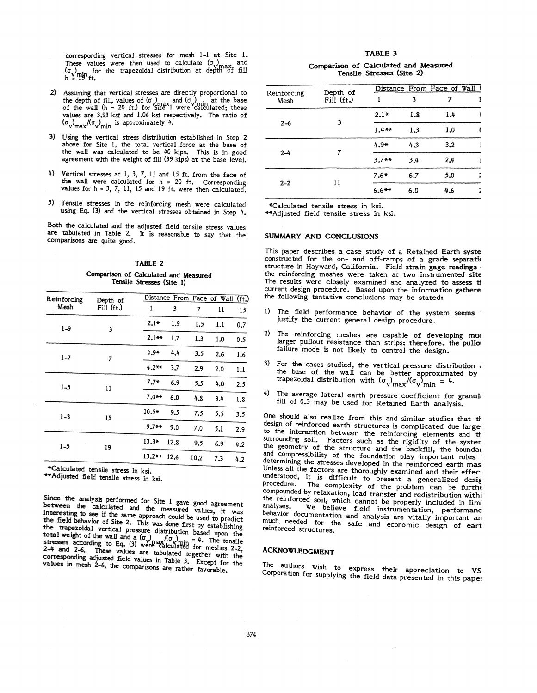corresponding vertical stresses for mesh 1-1 at Site 1. These values were then used to calculate  $(\sigma_{\rm v})_{\rm max}$  and  $(\sigma_{\rm v})_{\rm min}$  for the trapezoidal distribution at depth of fill  $h \stackrel{v}{=} \frac{r}{2}$ 

- 2) Assuming that vertical stresses are directly proportional to the depth of fill, values of  $(\sigma_v)_{max}$  and  $(\sigma_v)_{min}$  at the base of the wall (h = 20 ft.) for site 1 were calculated; these values are 3.93 ksf and 1.06 ksf respectively. The ratio of  $(\sigma_v)_{\text{max}}/(\sigma_v)_{\text{min}}$  is approximately 4.
- 3) Using the vertical stress distribution established in Step 2 above for Site 1, the total vertical force at the base of the wall was calculated to be 40 kips. This is in good agreement with the weight of fill {39 kips) at the base level.
- Vertical stresses at 1, 3, 7, 11 and 15 ft. from the face of the wall were calculated for h = 20 ft. Corresponding values for  $h = 3, 7, 11, 15$  and 19 ft. were then calculated.
- 5) Tensile stresses in the reinforcing mesh were calculated using Eq. (3) and the vertical stresses obtained in Step 4.

Both the calculated and the adjusted field tensile stress values are tabulated in Table 2. It is reasonable to say that the comparisons are quite good.

#### TABLE 2

#### Comparison of Calculated and Measured Tensile Stresses {Site 1)

| Reinforcing | Depth of<br>Fill (ft.) |          |      |      | Distance From Face of Wall | (f <sub>t</sub> ) |
|-------------|------------------------|----------|------|------|----------------------------|-------------------|
| Mesh        |                        | 1        | 3    | 7    | 11                         | 15                |
| $1 - 9$     | 3                      | $2.1*$   | 1.9  | 1.5  | 1.1                        | 0.7               |
|             |                        | $2.1**$  | 1.7  | 1.3  | 1.0                        | 0.5               |
| 1-7         | 7                      | $4.9*$   | 4.4  | 3.5  | 2.6                        | 1.6               |
|             |                        | $4.2**$  | 3.7  | 2.9  | 2.0                        | 1.1               |
| $1 - 5$     | 11                     | $7.7*$   | 6.9  | 5.5  | 4.0                        | 2.5               |
|             |                        | $7.0**$  | 6.0  | 4.8  | 3.4                        | 1.8               |
| $1-3$       | 15                     | $10.5*$  | 9,5  | 7.5  | 5.5                        | 3.5               |
|             |                        | $9.7**$  | 9.0  | 7.0  | 5.1                        | 2.9               |
| $1 - 5$     | 19                     | $13.3*$  | 12.8 | 9.5  | 6.9                        | 4.2               |
|             |                        | $13.2**$ | 12.6 | 10.2 | 7.3                        | 4.2               |

\*Ca.lcuiated tensile stress in ksi.

\*\*Adjusted field tensile stress in ksi.

Since the analysis performed for Site 1 gave good agreement<br>between the calculated and the measured values, it was Interesting to see if the same approach could be used to predict the field behavior of Site 2. This was done first by establishing the trapezoidal vertical pressure distribution based upon the total weight of the wall pressure distribution based upon the<br>stresses according to  $E_G$  (2)  $\alpha$  ax/ $(\sigma)$  min = 4. The tensile stresses according to Eq. (3) we may  $\frac{1}{2}$  and 2-6. There is a contracted for meshes 2-2, 2.4 and 2.6. These values are tabulated together with the corresponding adjusted field values in Table 3. Except for the values in mesh 2-6, the comparisons are rather favorable.

TABLE 3 Comparison of Calculated and Measured Tensile Stresses (Site 2)

|                     | Depth of<br>$FIII$ (ft.) |          |     | Distance From Face of Wall ( |   |
|---------------------|--------------------------|----------|-----|------------------------------|---|
| Reinforcing<br>Mesh |                          |          | 3   |                              |   |
|                     | 3                        | $2.1*$   | 1.8 | 1.4                          |   |
| $2 - 6$             |                          | $1.4***$ | 1.3 | 1.0                          |   |
|                     | 7                        | $4.9*$   | 4.3 | 3.2                          |   |
| $2 - 4$             |                          | $3.7**$  | 3.4 | 2.4                          |   |
| $2 - 2$             |                          | $7.6*$   | 6.7 | 5.0                          | ā |
|                     | 11                       | $6.6***$ | 6.0 | 4.6                          | 2 |

\*Calculated tensile stress in ksi.

\*\*Adjusted field tensile stress in ksi.

#### SUMMARY AND CONCLUSIONS

This paper describes a case study of a Retained Earth syste constructed for the on- and off-ramps of a grade separatic structure in Hayward, California. Field strain gage readings the reinforcing meshes were taken at two instrumented site The results were closely examined and analyzed to assess tf current design procedure. Based upon the information gathere the following tentative conclusions may be stated:

- I) The field performance behavior of the system seems · justify the current general design procedure.
- 2) The reinforcing meshes are capable of developing mu< larger pullout resistance than *strips; therefore*, the pullot failure mode is not likely to control the design.
- 3) For the cases studied, the vertical pressure distribution <sup>i</sup> the base of the wall can be better approximated by trapezoidal distribution with  $(\sigma_{\rm v})_{\rm max}/(\sigma_{\rm v})_{\rm min}$  = 4.
- 4) The average lateral earth pressure coefficient for granul; fill of 0.3 may be used for Retained Earth analysis.

One should also realize from this and similar studies that tt design of reinforced earth structures is complicated due large: to the interaction between the reinforcing elements and th surrounding soil Factors such as the rigidity of the systen the geometry of the structure and the backfill, the boundat and compressibility of the foundation play important roles ! determining the stresses developed in the reinforced earth mas Unless all the factors are thoroughly examined and their effect understood, it is difficult to present a generalized desig The complexity of the problem can be furthe compounded by relaxation, load transfer and redistribution withi the reinforced soil, which cannot be properly included in liminally sextence the believe field incrementation in liminal We believe field instrumentation, performanc behavior documentation and analysis are vitally important an much needed for the safe and economic design of eart reinforced structures.

# ACKNOWLEDGMENT

The authors wish to express their appreciation to VS Corporation for supplying the field data presented in this pape1